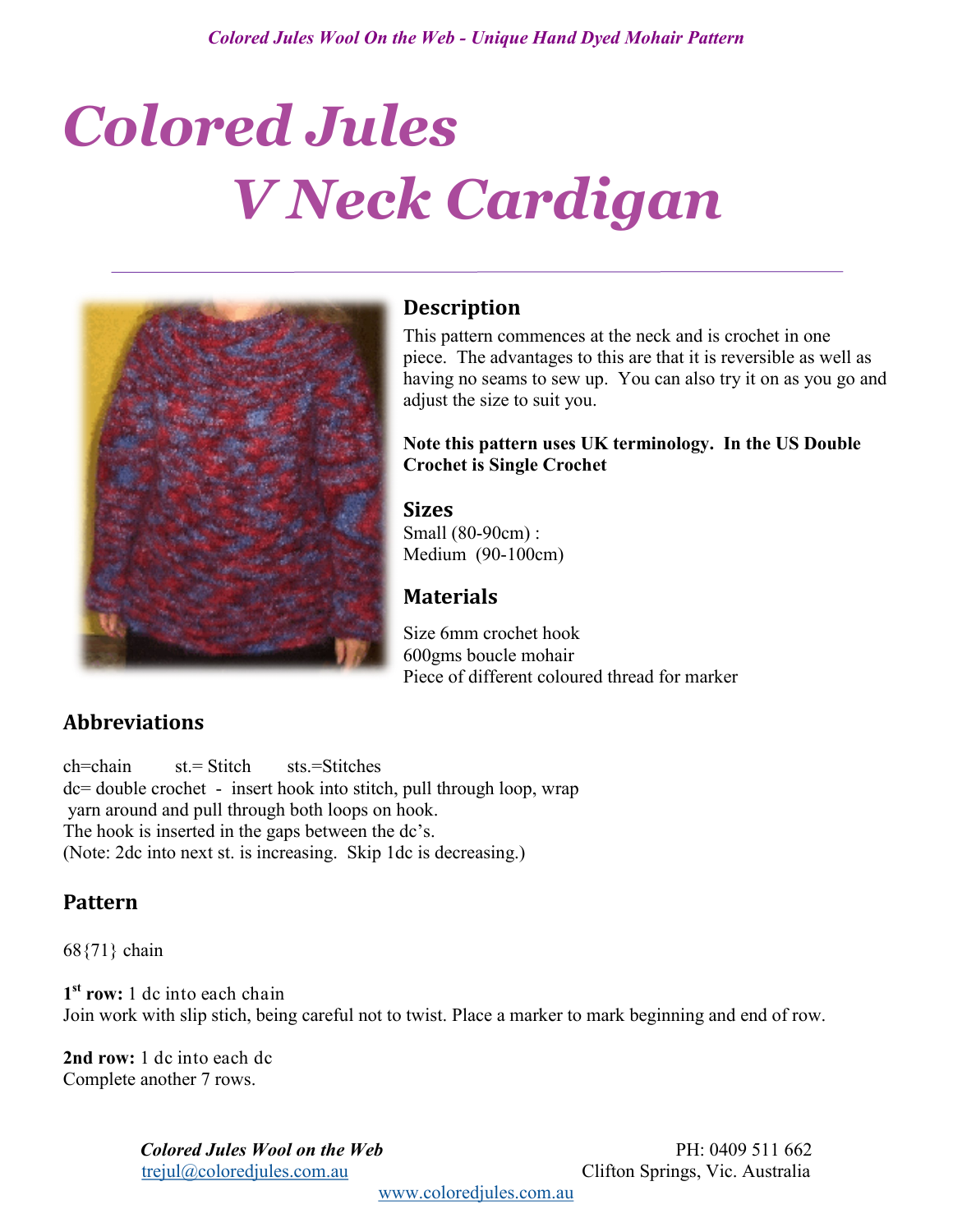# *Colored Jules V Neck Cardigan*



## **Description**

This pattern commences at the neck and is crochet in one piece. The advantages to this are that it is reversible as well as having no seams to sew up. You can also try it on as you go and adjust the size to suit you.

#### **Note this pattern uses UK terminology. In the US Double Crochet is Single Crochet**

#### **Sizes**

Small (80-90cm) : Medium (90-100cm)

## **Materials**

Size 6mm crochet hook 600gms boucle mohair Piece of different coloured thread for marker

# **Abbreviations**

ch=chain st.= Stitch sts.=Stitches dc= double crochet - insert hook into stitch, pull through loop, wrap yarn around and pull through both loops on hook. The hook is inserted in the gaps between the dc's. (Note: 2dc into next st. is increasing. Skip 1dc is decreasing.)

## **Pattern**

68{71} chain

**1 st row:** 1 dc into each chain Join work with slip stich, being careful not to twist. Place a marker to mark beginning and end of row.

**2nd row:** 1 dc into each dc Complete another 7 rows.

> *Colored Jules Wool on the Web* PH: 0409 511 662 [trejul@coloredjules.com.au](mailto:trejul@coloredjules.com.au) Clifton Springs, Vic. Australia

[www.coloredjules.com.au](http://www.coloredjules.com.au/)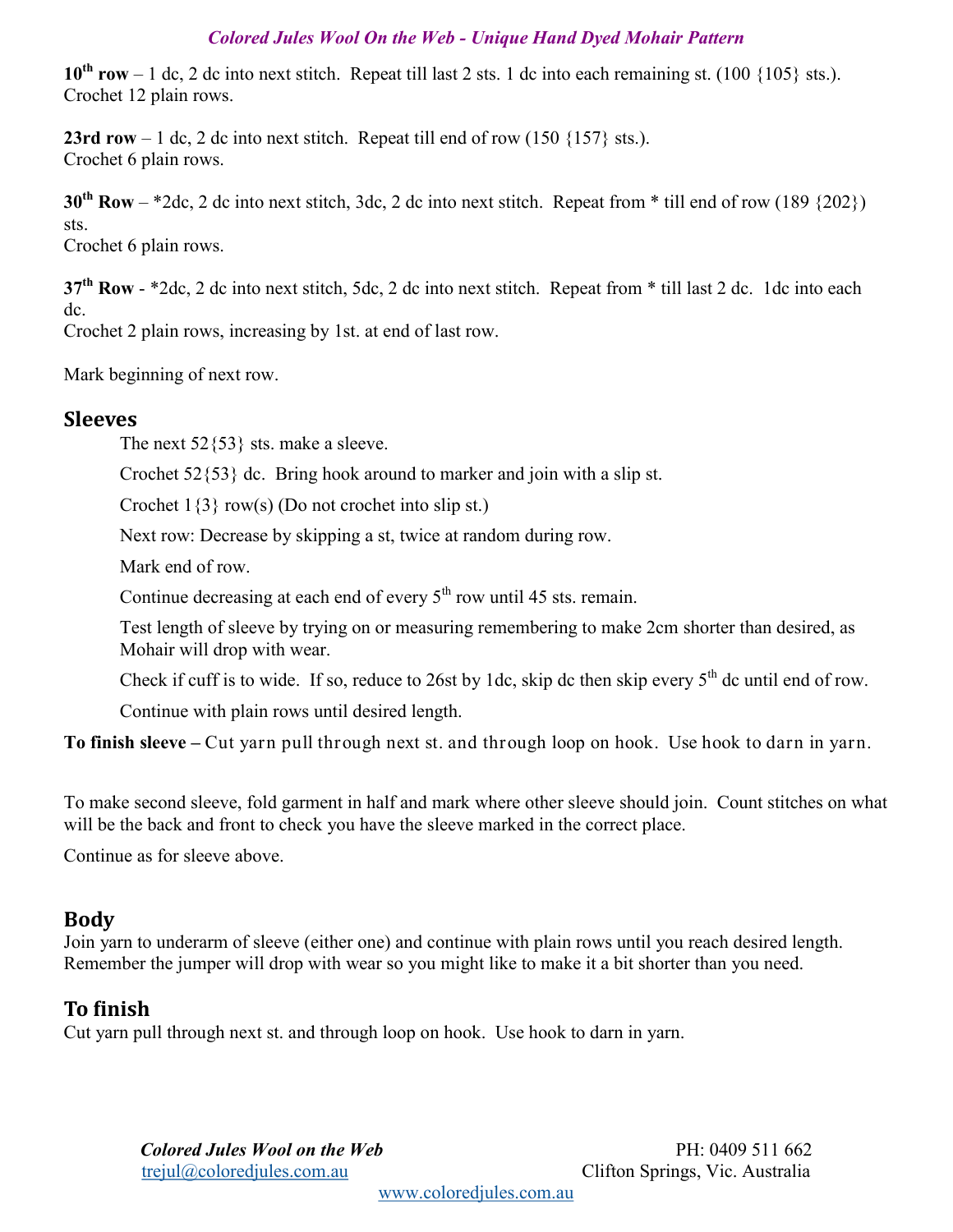#### *Colored Jules Wool On the Web - [Unique Hand Dyed Mohair Pattern](mailto:trejul@coloredjules.com.au)*

 $10^{th}$  **row** – 1 dc, 2 dc into next stitch. Repeat till last 2 sts. 1 dc into each remaining st. (100  $\{105\}$  sts.). Crochet 12 plain rows.

**23rd row** – 1 dc, 2 dc into next stitch. Repeat till end of row  $(150 \{157\} \text{sts.})$ . Crochet 6 plain rows.

**30th Row** – \*2dc, 2 dc into next stitch, 3dc, 2 dc into next stitch. Repeat from \* till end of row (189 {202}) sts.

Crochet 6 plain rows.

**37th Row** - \*2dc, 2 dc into next stitch, 5dc, 2 dc into next stitch. Repeat from \* till last 2 dc. 1dc into each dc.

Crochet 2 plain rows, increasing by 1st. at end of last row.

Mark beginning of next row.

#### **Sleeves**

The next  $52\{53\}$  sts. make a sleeve.

Crochet  $52\{53\}$  dc. Bring hook around to marker and join with a slip st.

Crochet  $1\{3\}$  row(s) (Do not crochet into slip st.)

Next row: Decrease by skipping a st, twice at random during row.

Mark end of row.

Continue decreasing at each end of every  $5<sup>th</sup>$  row until 45 sts. remain.

Test length of sleeve by trying on or measuring remembering to make 2cm shorter than desired, as Mohair will drop with wear.

Check if cuff is to wide. If so, reduce to 26st by 1dc, skip dc then skip every  $5<sup>th</sup>$  dc until end of row.

Continue with plain rows until desired length.

**To finish sleeve –** Cut yarn pull through next st. and through loop on hook. Use hook to darn in yarn.

To make second sleeve, fold garment in half and mark where other sleeve should join. Count stitches on what will be the back and front to check you have the sleeve marked in the correct place.

Continue as for sleeve above.

## **Body**

Join yarn to underarm of sleeve (either one) and continue with plain rows until you reach desired length. Remember the jumper will drop with wear so you might like to make it a bit shorter than you need.

### **To finish**

Cut yarn pull through next st. and through loop on hook. Use hook to darn in yarn.

*Colored Jules Wool on the Web* PH: 0409 511 662 [trejul@coloredjules.com.au](mailto:trejul@coloredjules.com.au) Clifton Springs, Vic. Australia

[www.coloredjules.com.au](http://www.coloredjules.com.au/)